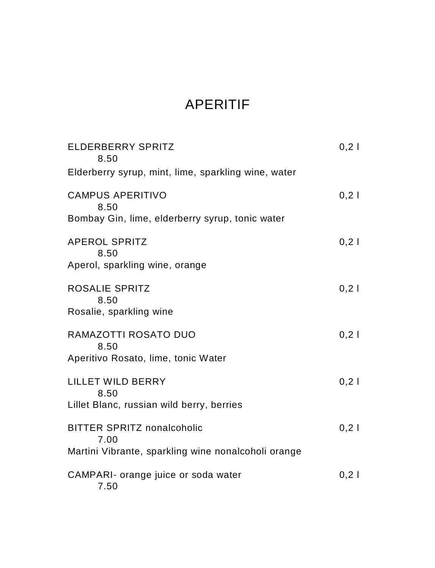# APERITIF

| ELDERBERRY SPRITZ<br>8.50                                                                        | 0,21  |
|--------------------------------------------------------------------------------------------------|-------|
| Elderberry syrup, mint, lime, sparkling wine, water                                              |       |
| <b>CAMPUS APERITIVO</b><br>8.50<br>Bombay Gin, lime, elderberry syrup, tonic water               | $0,2$ |
| <b>APEROL SPRITZ</b><br>8.50<br>Aperol, sparkling wine, orange                                   | $0,2$ |
| ROSALIE SPRITZ<br>8.50<br>Rosalie, sparkling wine                                                | $0,2$ |
| RAMAZOTTI ROSATO DUO<br>8.50<br>Aperitivo Rosato, lime, tonic Water                              | $0,2$ |
| LILLET WILD BERRY<br>8.50<br>Lillet Blanc, russian wild berry, berries                           | 0,21  |
| <b>BITTER SPRITZ nonalcoholic</b><br>7.00<br>Martini Vibrante, sparkling wine nonalcoholi orange | $0,2$ |
| CAMPARI- orange juice or soda water<br>7.50                                                      | $0,2$ |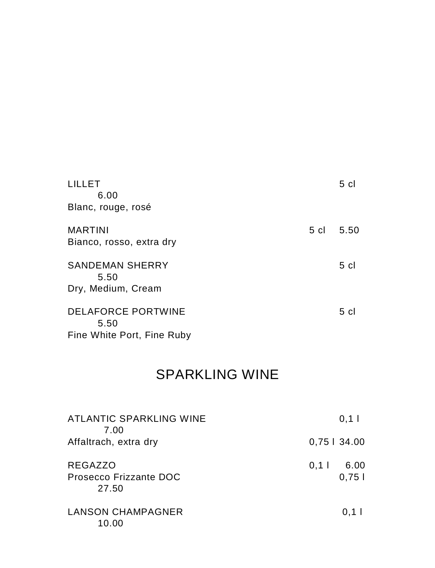| LILLET<br>6.00                             |      | 5 <sub>cl</sub> |
|--------------------------------------------|------|-----------------|
| Blanc, rouge, rosé                         |      |                 |
| <b>MARTINI</b><br>Bianco, rosso, extra dry | 5 cl | -5.50           |
| <b>SANDEMAN SHERRY</b><br>5.50             |      | $5 \text{ cl}$  |
| Dry, Medium, Cream                         |      |                 |
| <b>DELAFORCE PORTWINE</b><br>5.50          |      | 5 cl            |
| Fine White Port, Fine Ruby                 |      |                 |

# SPARKLING WINE

| <b>ATLANTIC SPARKLING WINE</b><br>7.00            | 0,11                     |
|---------------------------------------------------|--------------------------|
| Affaltrach, extra dry                             | $0,75$   34.00           |
| <b>REGAZZO</b><br>Prosecco Frizzante DOC<br>27.50 | 6.00<br>$0,1$  <br>0,751 |
| LANSON CHAMPAGNER<br>10.00                        | $0,1$                    |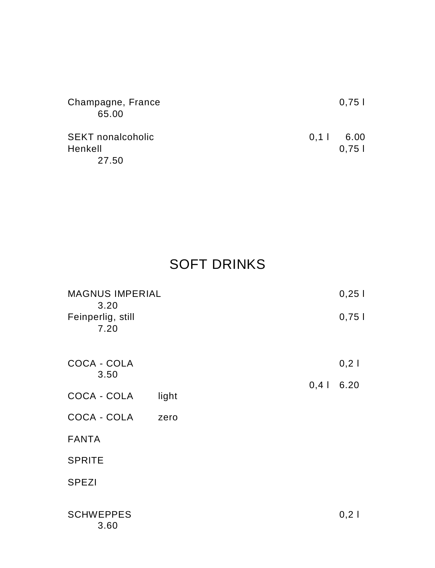| Champagne, France        | 0.751       |
|--------------------------|-------------|
| 65.00                    |             |
| <b>SEKT</b> nonalcoholic | $0.11$ 6.00 |
| Henkell                  | 0.751       |
| 27.50                    |             |

# SOFT DRINKS

| <b>MAGNUS IMPERIAL</b><br>3.20 |       |       | 0,251 |
|--------------------------------|-------|-------|-------|
| Feinperlig, still<br>7.20      |       |       | 0,751 |
| COCA - COLA<br>3.50            |       |       | 0,21  |
|                                |       | $0,4$ | 6.20  |
| COCA - COLA                    | light |       |       |
| COCA - COLA                    | zero  |       |       |
| <b>FANTA</b>                   |       |       |       |
| <b>SPRITE</b>                  |       |       |       |
| <b>SPEZI</b>                   |       |       |       |
| <b>SCHWEPPES</b><br>3.60       |       |       | 0,21  |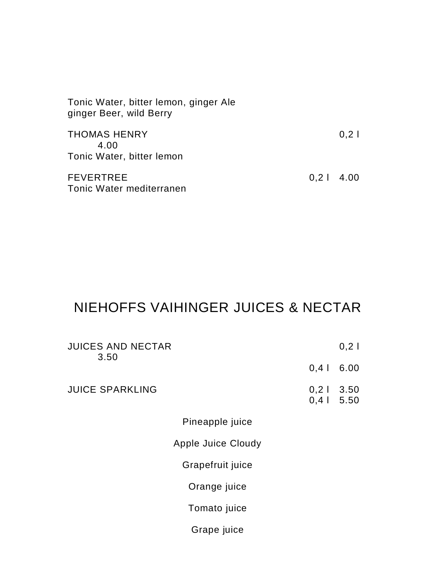| Tonic Water, bitter lemon, ginger Ale<br>ginger Beer, wild Berry |             |      |
|------------------------------------------------------------------|-------------|------|
| <b>THOMAS HENRY</b><br>4.00<br>Tonic Water, bitter lemon         |             | 0,21 |
| <b>FEVERTREE</b><br>Tonic Water mediterranen                     | $0,21$ 4.00 |      |

# NIEHOFFS VAIHINGER JUICES & NECTAR

| <b>JUICES AND NECTAR</b><br>3.50 |              | 0,21        |
|----------------------------------|--------------|-------------|
|                                  | $0,4$        | 6.00        |
| <b>JUICE SPARKLING</b>           | $0,4$   5.50 | $0,21$ 3.50 |
| Pineapple juice                  |              |             |
| Apple Juice Cloudy               |              |             |
| Grapefruit juice                 |              |             |
| Orange juice                     |              |             |
| Tomato juice                     |              |             |
| Grape juice                      |              |             |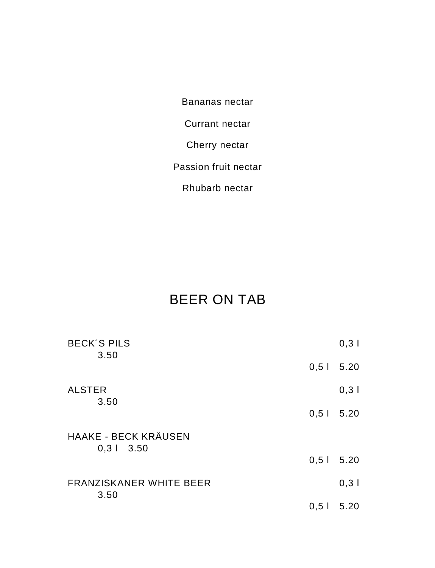Bananas nectar

Currant nectar

Cherry nectar

Passion fruit nectar

Rhubarb nectar

## BEER ON TAB

| <b>BECK'S PILS</b><br>3.50             |             | $0,3$  |
|----------------------------------------|-------------|--------|
|                                        | $0,51$ 5.20 |        |
| <b>ALSTER</b>                          |             | $0,3$  |
| 3.50                                   | $0,51$ 5.20 |        |
| <b>HAAKE - BECK KRÄUSEN</b>            |             |        |
| $0,31$ 3.50                            | $0,51$ 5.20 |        |
| <b>FRANZISKANER WHITE BEER</b><br>3.50 |             | $0,3$  |
|                                        | 0,51        | - 5.20 |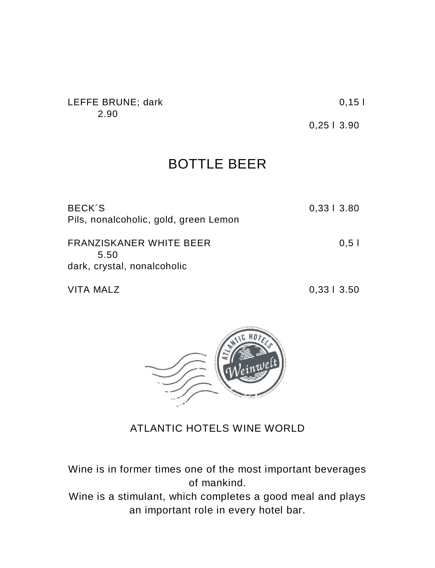#### LEFFE BRUNE; dark 0,15 l 2.90

0,25 l 3.90

## BOTTLE BEER

| BECK'S<br>Pils, nonalcoholic, gold, green Lemon                | 0,3313.80 |
|----------------------------------------------------------------|-----------|
| FRANZISKANER WHITE BEER<br>5.50<br>dark, crystal, nonalcoholic | 0.51      |

VITA MALZ 0,33 l 3.50



### ATLANTIC HOTELS WINE WORLD

Wine is in former times one of the most important beverages of mankind.

Wine is a stimulant, which completes a good meal and plays an important role in every hotel bar.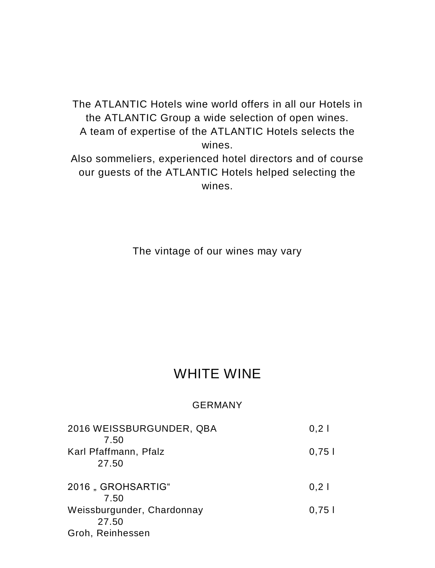The ATLANTIC Hotels wine world offers in all our Hotels in the ATLANTIC Group a wide selection of open wines. A team of expertise of the ATLANTIC Hotels selects the wines. Also sommeliers, experienced hotel directors and of course

our guests of the ATLANTIC Hotels helped selecting the wines.

The vintage of our wines may vary

### WHITE WINE

#### GERMANY

| 2016 WEISSBURGUNDER, QBA<br>7.50 | 0,21  |
|----------------------------------|-------|
| Karl Pfaffmann, Pfalz<br>27.50   | 0,751 |
| 2016, GROHSARTIG"<br>7.50        | $0,2$ |
| Weissburgunder, Chardonnay       | 0,751 |
| 27.50<br>Groh, Reinhessen        |       |
|                                  |       |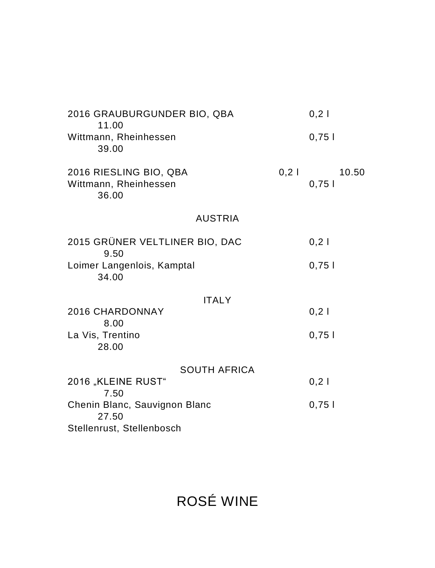| 2016 GRAUBURGUNDER BIO, QBA<br>11.00                     |       | $0,2$          |
|----------------------------------------------------------|-------|----------------|
| Wittmann, Rheinhessen<br>39.00                           |       | 0,751          |
| 2016 RIESLING BIO, QBA<br>Wittmann, Rheinhessen<br>36.00 | $0,2$ | 10.50<br>0,751 |
| <b>AUSTRIA</b>                                           |       |                |
| 2015 GRÜNER VELTLINER BIO, DAC<br>9.50                   |       | 0,21           |
| Loimer Langenlois, Kamptal<br>34.00                      |       | 0,751          |
| <b>ITALY</b>                                             |       |                |
| <b>2016 CHARDONNAY</b><br>8.00                           |       | 0,21           |
| La Vis, Trentino<br>28.00                                |       | 0,751          |
| <b>SOUTH AFRICA</b>                                      |       |                |
| 2016 "KLEINE RUST"<br>7.50                               |       | $0,2$          |
| Chenin Blanc, Sauvignon Blanc<br>27.50                   |       | 0,751          |
| Stellenrust, Stellenbosch                                |       |                |

ROSÉ WINE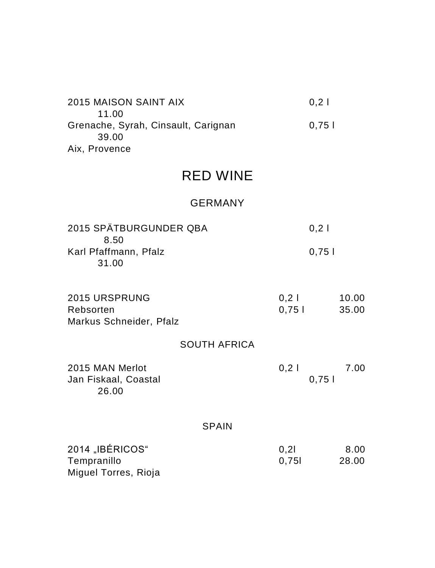| 2015 MAISON SAINT AIX               | 0.21  |
|-------------------------------------|-------|
| 11.00                               |       |
| Grenache, Syrah, Cinsault, Carignan | 0.751 |
| 39.00                               |       |
| Aix, Provence                       |       |

## RED WINE

### GERMANY

| 2015 SPÄTBURGUNDER QBA | 0.21  |
|------------------------|-------|
| 8.50                   |       |
| Karl Pfaffmann, Pfalz  | 0.751 |
| 31.00                  |       |

| 2015 URSPRUNG<br>Rebsorten<br>Markus Schneider, Pfalz               |                     | 0,21<br>0,751 | 10.00<br>35.00 |
|---------------------------------------------------------------------|---------------------|---------------|----------------|
|                                                                     | <b>SOUTH AFRICA</b> |               |                |
| 2015 MAN Merlot<br>Jan Fiskaal, Coastal<br>26.00                    |                     | 0,21<br>0,751 | 7.00           |
|                                                                     | <b>SPAIN</b>        |               |                |
| $\mathcal{L}$ and $\mathcal{L}$ and $\mathcal{L}$ and $\mathcal{L}$ |                     |               |                |

| 2014 "IBÉRICOS"      | 0.21  | 8.00  |
|----------------------|-------|-------|
| Tempranillo          | 0.751 | 28.00 |
| Miguel Torres, Rioja |       |       |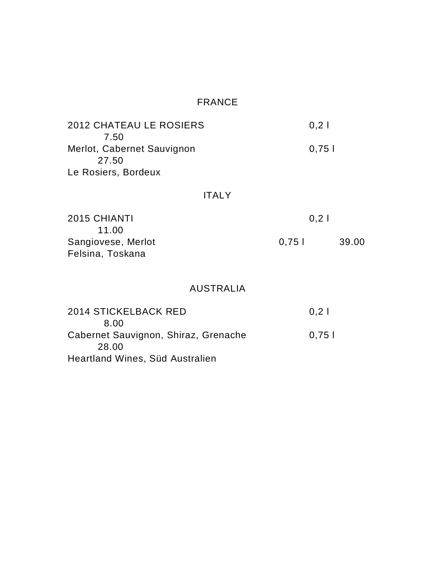### FRANCE

| <b>2012 CHATEAU LE ROSIERS</b> | 0.21  |
|--------------------------------|-------|
| 7.50                           |       |
| Merlot, Cabernet Sauvignon     | 0.751 |
| 27.50                          |       |
| Le Rosiers, Bordeux            |       |

#### ITALY

| 2015 CHIANTI       | 0.21   |       |
|--------------------|--------|-------|
| 11.00              |        |       |
| Sangiovese, Merlot | 0.75 L | 39.00 |
| Felsina, Toskana   |        |       |

### AUSTRALIA

| <b>2014 STICKELBACK RED</b>          | 0.21  |
|--------------------------------------|-------|
| 8.00                                 |       |
| Cabernet Sauvignon, Shiraz, Grenache | 0.751 |
| 28.00                                |       |
| Heartland Wines, Süd Australien      |       |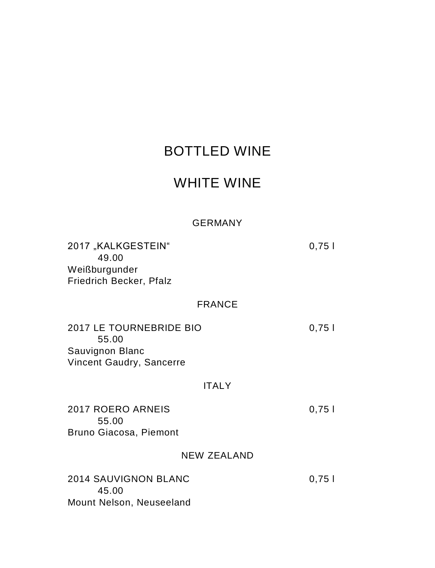## BOTTLED WINE

### WHITE WINE

#### GERMANY

2017 "KALKGESTEIN" 0,75 l 49.00 Weißburgunder Friedrich Becker, Pfalz

#### FRANCE

2017 LE TOURNEBRIDE BIO 0,75 l 55.00 Sauvignon Blanc Vincent Gaudry, Sancerre

#### ITALY

2017 ROERO ARNEIS 0,75 l 55.00 Bruno Giacosa, Piemont

#### NEW ZEALAND

| 2014 SAUVIGNON BLANC     | 0.751 |
|--------------------------|-------|
| 45.00                    |       |
| Mount Nelson, Neuseeland |       |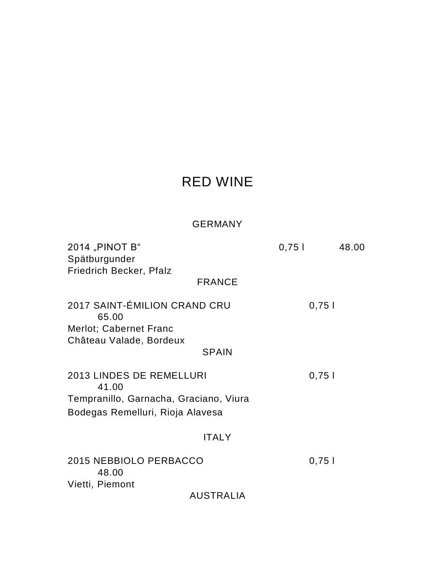## RED WINE

### GERMANY

| 2014 "PINOT B"                         | 0,751 | 48.00 |
|----------------------------------------|-------|-------|
| Spätburgunder                          |       |       |
| Friedrich Becker, Pfalz                |       |       |
| <b>FRANCE</b>                          |       |       |
| 2017 SAINT-ÉMILION CRAND CRU<br>65.00  | 0,751 |       |
| Merlot; Cabernet Franc                 |       |       |
| Château Valade, Bordeux                |       |       |
| <b>SPAIN</b>                           |       |       |
|                                        |       |       |
| 2013 LINDES DE REMELLURI<br>41.00      | 0,751 |       |
| Tempranillo, Garnacha, Graciano, Viura |       |       |
| Bodegas Remelluri, Rioja Alavesa       |       |       |
|                                        |       |       |
| <b>ITALY</b>                           |       |       |
| 2015 NEBBIOLO PERBACCO<br>48.00        | 0,751 |       |
| Vietti, Piemont                        |       |       |
| AUSTRALIA                              |       |       |
|                                        |       |       |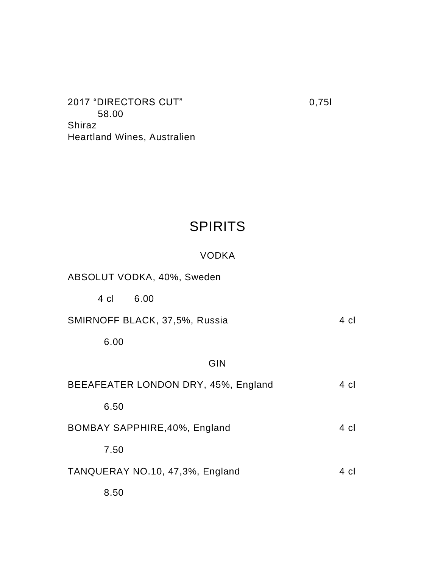2017 "DIRECTORS CUT" 0,75l 58.00 Shiraz Heartland Wines, Australien

## SPIRITS

#### VODKA

ABSOLUT VODKA, 40%, Sweden

4 cl 6.00

SMIRNOFF BLACK, 37,5%, Russia 4 cl

6.00

#### GIN

| BEEAFEATER LONDON DRY, 45%, England | 4 cl |
|-------------------------------------|------|
| 6.50                                |      |
| BOMBAY SAPPHIRE, 40%, England       | 4 cl |
| 7.50                                |      |
| TANQUERAY NO.10, 47,3%, England     | 4 cl |
| 8.50                                |      |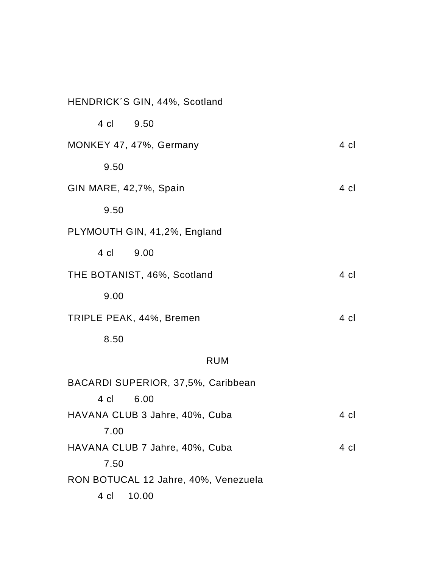| HENDRICK'S GIN, 44%, Scotland        |      |
|--------------------------------------|------|
| 4 cl<br>9.50                         |      |
| MONKEY 47, 47%, Germany              | 4 cl |
| 9.50                                 |      |
| GIN MARE, 42,7%, Spain               | 4 cl |
| 9.50                                 |      |
| PLYMOUTH GIN, 41,2%, England         |      |
| 4 cl<br>9.00                         |      |
| THE BOTANIST, 46%, Scotland          | 4 cl |
| 9.00                                 |      |
| TRIPLE PEAK, 44%, Bremen             | 4 cl |
| 8.50                                 |      |
| <b>RUM</b>                           |      |
| BACARDI SUPERIOR, 37,5%, Caribbean   |      |
| 4 cl<br>6.00                         |      |
| HAVANA CLUB 3 Jahre, 40%, Cuba       | 4 cl |
| 7.00                                 |      |
| HAVANA CLUB 7 Jahre, 40%, Cuba       | 4 cl |
| 7.50                                 |      |
| RON BOTUCAL 12 Jahre, 40%, Venezuela |      |
| 4 cl<br>10.00                        |      |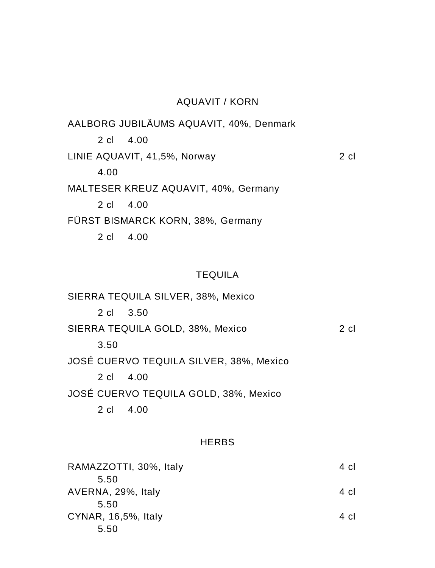#### AQUAVIT / KORN

AALBORG JUBILÄUMS AQUAVIT, 40%, Denmark 2 cl 4.00 LINIE AQUAVIT, 41,5%, Norway 2 cl 4.00 MALTESER KREUZ AQUAVIT, 40%, Germany 2 cl 4.00 FÜRST BISMARCK KORN, 38%, Germany 2 cl 4.00

#### **TEQUILA**

SIERRA TEQUILA SILVER, 38%, Mexico 2 cl 3.50 SIERRA TEQUILA GOLD, 38%, Mexico 2 cl 3.50 JOSÉ CUERVO TEQUILA SILVER, 38%, Mexico 2 cl 4.00 JOSÉ CUERVO TEQUILA GOLD, 38%, Mexico 2 cl 4.00

#### HERBS

| RAMAZZOTTI, 30%, Italy | 4 cl |
|------------------------|------|
| 5.50                   |      |
| AVERNA, 29%, Italy     | 4 cl |
| 5.50                   |      |
| CYNAR, 16,5%, Italy    | 4 cl |
| 5.50                   |      |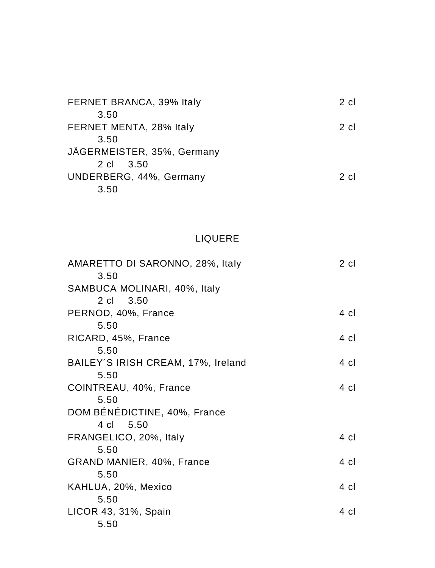| FERNET BRANCA, 39% Italy   | $2$ cl |
|----------------------------|--------|
| 3.50                       |        |
| FERNET MENTA, 28% Italy    | $2$ cl |
| 3.50                       |        |
| JÄGERMEISTER, 35%, Germany |        |
| 2 cl 3.50                  |        |
| UNDERBERG, 44%, Germany    | 2 cl   |
| 3.50                       |        |

### LIQUERE

| AMARETTO DI SARONNO, 28%, Italy    | 2 cl |
|------------------------------------|------|
| 3.50                               |      |
| SAMBUCA MOLINARI, 40%, Italy       |      |
| 2 cl 3.50                          |      |
| PERNOD, 40%, France                | 4 cl |
| 5.50                               |      |
| RICARD, 45%, France                | 4 cl |
| 5.50                               |      |
| BAILEY'S IRISH CREAM, 17%, Ireland | 4 cl |
| 5.50                               |      |
| COINTREAU, 40%, France             | 4 cl |
| 5.50                               |      |
| DOM BÉNÉDICTINE, 40%, France       |      |
| 5.50<br>4 cl                       |      |
| FRANGELICO, 20%, Italy             | 4 cl |
| 5.50                               |      |
| GRAND MANIER, 40%, France          | 4 cl |
| 5.50                               |      |
| KAHLUA, 20%, Mexico                | 4 cl |
| 5.50                               |      |
| LICOR 43, 31%, Spain               | 4 cl |
| 5.50                               |      |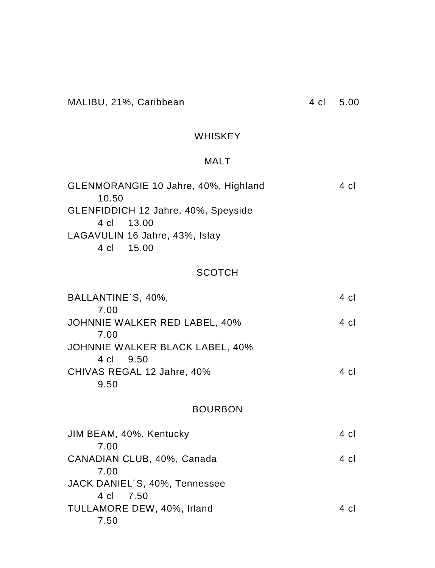#### WHISKEY

### MALT

| GLENMORANGIE 10 Jahre, 40%, Highland | 4 cl |
|--------------------------------------|------|
| 10.50                                |      |
| GLENFIDDICH 12 Jahre, 40%, Speyside  |      |
| 4 cl 13.00                           |      |
| LAGAVULIN 16 Jahre, 43%, Islay       |      |
| 4 cl 15.00                           |      |
|                                      |      |

### **SCOTCH**

| BALLANTINE'S, 40%,              | 4 cl |
|---------------------------------|------|
| 7.00                            |      |
| JOHNNIE WALKER RED LABEL, 40%   | 4 cl |
| 7.00                            |      |
| JOHNNIE WALKER BLACK LABEL, 40% |      |
| 4 cl 9.50                       |      |
| CHIVAS REGAL 12 Jahre, 40%      | 4 cl |
| 9.50                            |      |
|                                 |      |

### BOURBON

| JIM BEAM, 40%, Kentucky       | 4 cl |
|-------------------------------|------|
| 7.00                          |      |
| CANADIAN CLUB, 40%, Canada    | 4 cl |
| 7.00                          |      |
| JACK DANIEL'S, 40%, Tennessee |      |
| 4 cl 7.50                     |      |
| TULLAMORE DEW, 40%, Irland    | 4 cl |
| 7.50                          |      |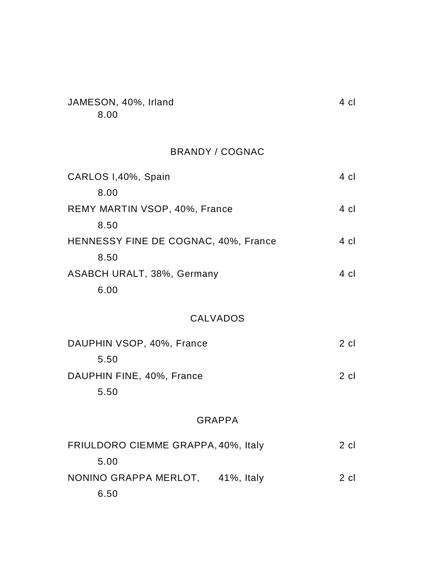| JAMESON, 40%, Irland | 4 cl |
|----------------------|------|
| 8.00                 |      |

### BRANDY / COGNAC

| CARLOS I,40%, Spain                  | 4 cl   |
|--------------------------------------|--------|
| 8.00                                 |        |
| REMY MARTIN VSOP, 40%, France        | 4 cl   |
| 8.50                                 |        |
| HENNESSY FINE DE COGNAC, 40%, France | 4 cl   |
| 8.50                                 |        |
| ASABCH URALT, 38%, Germany           | 4 cl   |
| 6.00                                 |        |
| <b>CALVADOS</b>                      |        |
| DAUPHIN VSOP, 40%, France            | $2$ cl |
| 5.50                                 |        |
| DAUPHIN FINE, 40%, France            | $2$ cl |
| 5.50                                 |        |
| <b>GRAPPA</b>                        |        |
| FRIULDORO CIEMME GRAPPA, 40%, Italy  | $2$ cl |
| 5.00                                 |        |
| NONINO GRAPPA MERLOT, 41%, Italy     | $2$ cl |
| 6.50                                 |        |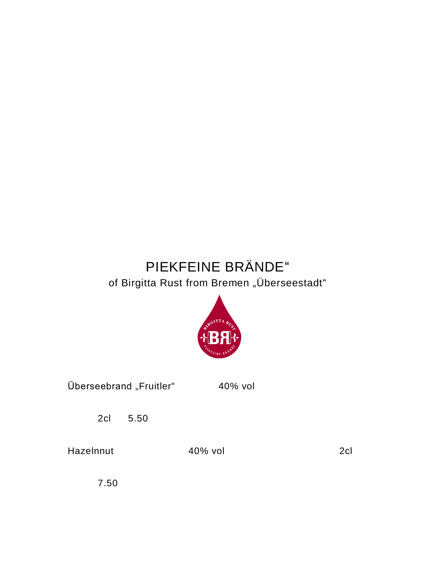# PIEKFEINE BRÄNDE" of Birgitta Rust from Bremen "Überseestadt"



| Überseebrand "Fruitler" | 40% vol |  |
|-------------------------|---------|--|
|                         |         |  |

2cl 5.50

Hazelnnut 40% vol 2cl

7.50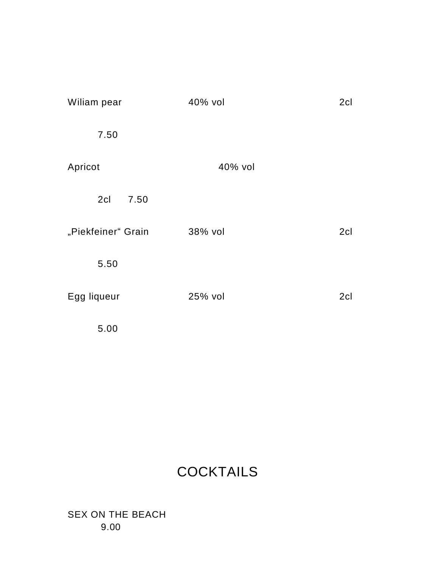| Wiliam pear        | 40% vol | 2cl |
|--------------------|---------|-----|
| 7.50               |         |     |
| Apricot            | 40% vol |     |
| 2cl<br>7.50        |         |     |
| "Piekfeiner" Grain | 38% vol | 2cl |
| 5.50               |         |     |
| Egg liqueur        | 25% vol | 2cl |
| 5.00               |         |     |

# **COCKTAILS**

SEX ON THE BEACH 9.00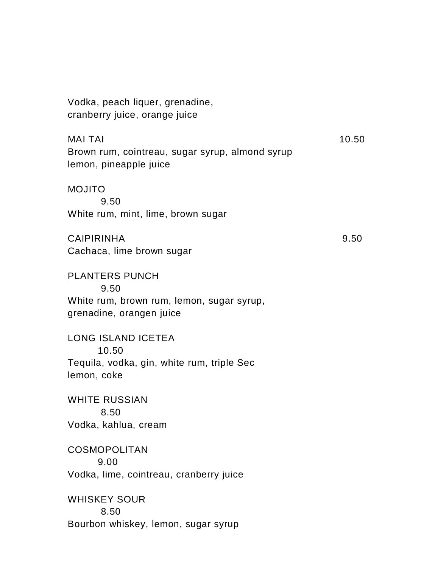Vodka, peach liquer, grenadine, cranberry juice, orange juice

 $MAI TAI$  10.50 Brown rum, cointreau, sugar syrup, almond syrup lemon, pineapple juice

MOJITO 9.50 White rum, mint, lime, brown sugar

CAIPIRINHA 9.50 Cachaca, lime brown sugar

PLANTERS PUNCH 9.50 White rum, brown rum, lemon, sugar syrup, grenadine, orangen juice

LONG ISLAND ICETEA 10.50 Tequila, vodka, gin, white rum, triple Sec lemon, coke

WHITE RUSSIAN 8.50 Vodka, kahlua, cream

**COSMOPOLITAN** 9.00 Vodka, lime, cointreau, cranberry juice

WHISKEY SOUR 8.50 Bourbon whiskey, lemon, sugar syrup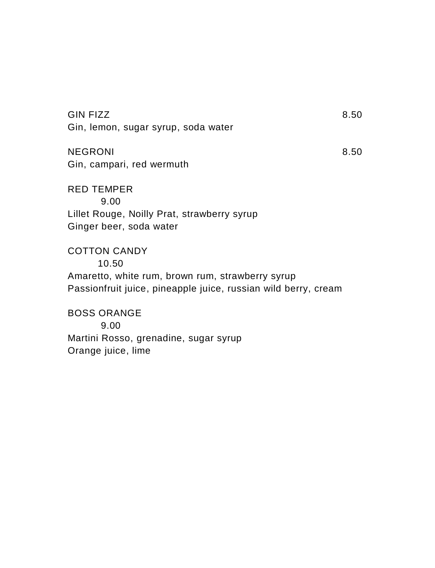| <b>GIN FIZZ</b>                                                | 8.50 |
|----------------------------------------------------------------|------|
| Gin, lemon, sugar syrup, soda water                            |      |
| <b>NEGRONI</b>                                                 | 8.50 |
| Gin, campari, red wermuth                                      |      |
| <b>RED TEMPER</b>                                              |      |
| 9.00                                                           |      |
| Lillet Rouge, Noilly Prat, strawberry syrup                    |      |
| Ginger beer, soda water                                        |      |
| <b>COTTON CANDY</b>                                            |      |
| 10.50                                                          |      |
| Amaretto, white rum, brown rum, strawberry syrup               |      |
| Passionfruit juice, pineapple juice, russian wild berry, cream |      |
| <b>BOSS ORANGE</b>                                             |      |
| 9.00                                                           |      |
| Martini Rosso, grenadine, sugar syrup                          |      |

Orange juice, lime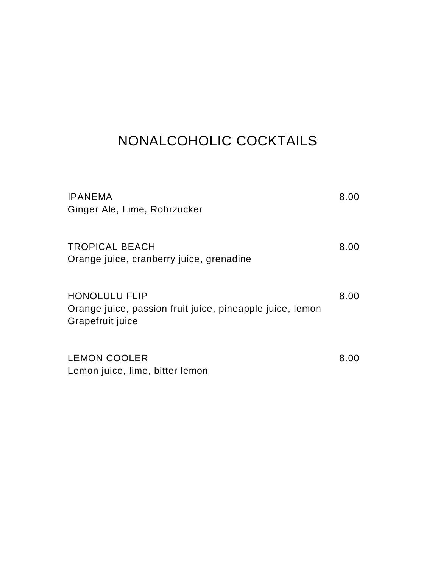# NONALCOHOLIC COCKTAILS

| <b>IPANEMA</b><br>Ginger Ale, Lime, Rohrzucker                                                        | 8.00 |
|-------------------------------------------------------------------------------------------------------|------|
| <b>TROPICAL BEACH</b><br>Orange juice, cranberry juice, grenadine                                     | 8.00 |
| <b>HONOLULU FLIP</b><br>Orange juice, passion fruit juice, pineapple juice, lemon<br>Grapefruit juice | 8.00 |
| <b>LEMON COOLER</b><br>Lemon juice, lime, bitter lemon                                                | 8.00 |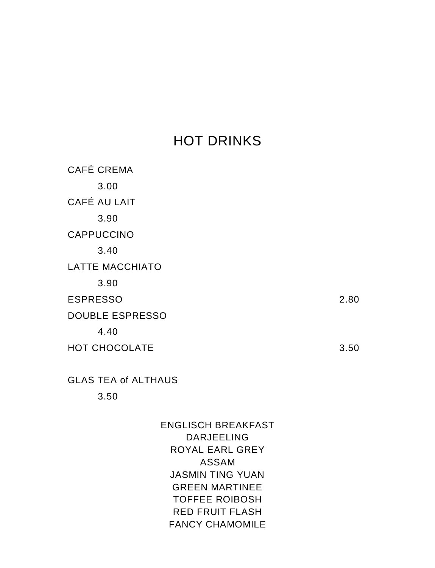## HOT DRINKS

| CAFÉ CREMA             |      |
|------------------------|------|
| 3.00                   |      |
| CAFÉ AU LAIT           |      |
| 3.90                   |      |
| <b>CAPPUCCINO</b>      |      |
| 3.40                   |      |
| <b>LATTE MACCHIATO</b> |      |
| 3.90                   |      |
| <b>ESPRESSO</b>        | 2.80 |
| <b>DOUBLE ESPRESSO</b> |      |
| 4.40                   |      |
| HOT CHOCOLATE          | 3.50 |
|                        |      |

GLAS TEA of ALTHAUS

3.50

### ENGLISCH BREAKFAST DARJEELING ROYAL EARL GREY ASSAM JASMIN TING YUAN GREEN MARTINEE TOFFEE ROIBOSH RED FRUIT FLASH FANCY CHAMOMILE